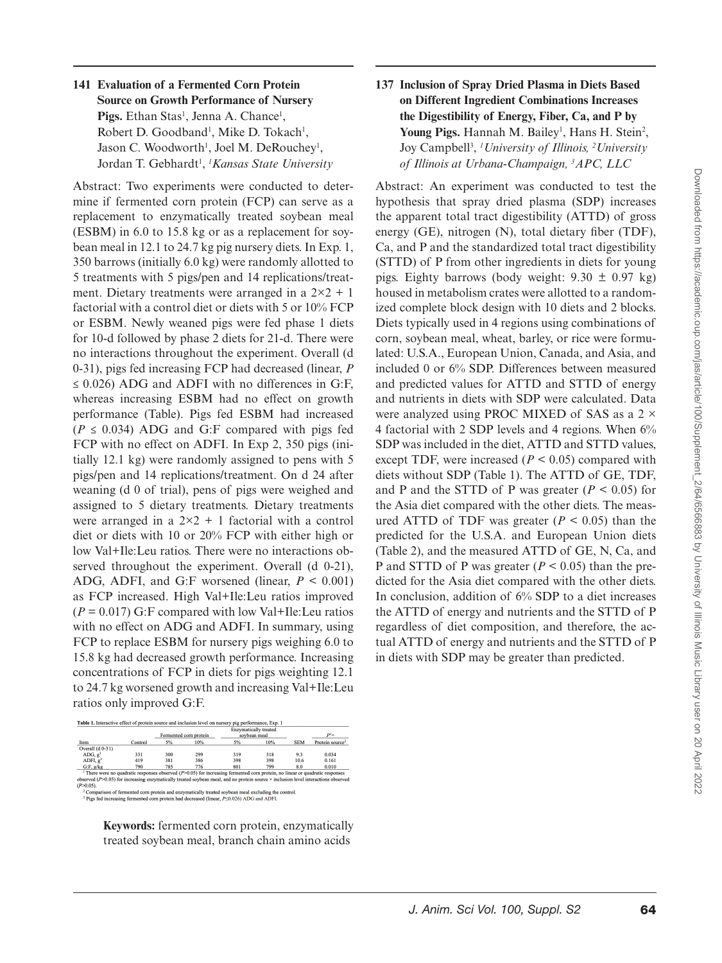## **141 Evaluation of a Fermented Corn Protein Source on Growth Performance of Nursery**  Pigs. Ethan Stas<sup>1</sup>, Jenna A. Chance<sup>1</sup>, Robert D. Goodband<sup>1</sup>, Mike D. Tokach<sup>1</sup>, Jason C. Woodworth<sup>1</sup>, Joel M. DeRouchey<sup>1</sup>, Jordan T. Gebhardt<sup>1</sup>, <sup>*1</sup>Kansas State University*</sup>

Abstract: Two experiments were conducted to determine if fermented corn protein (FCP) can serve as a replacement to enzymatically treated soybean meal (ESBM) in 6.0 to 15.8 kg or as a replacement for soybean meal in 12.1 to 24.7 kg pig nursery diets. In Exp. 1, 350 barrows (initially 6.0 kg) were randomly allotted to 5 treatments with 5 pigs/pen and 14 replications/treatment. Dietary treatments were arranged in a  $2\times2+1$ factorial with a control diet or diets with 5 or 10% FCP or ESBM. Newly weaned pigs were fed phase 1 diets for 10-d followed by phase 2 diets for 21-d. There were no interactions throughout the experiment. Overall (d 0-31), pigs fed increasing FCP had decreased (linear, *P*  $\leq$  0.026) ADG and ADFI with no differences in G:F, whereas increasing ESBM had no effect on growth performance (Table). Pigs fed ESBM had increased  $(P \le 0.034)$  ADG and G:F compared with pigs fed FCP with no effect on ADFI. In Exp 2, 350 pigs (initially 12.1 kg) were randomly assigned to pens with 5 pigs/pen and 14 replications/treatment. On d 24 after weaning (d 0 of trial), pens of pigs were weighed and assigned to 5 dietary treatments. Dietary treatments were arranged in a  $2\times2 + 1$  factorial with a control diet or diets with 10 or 20% FCP with either high or low Val+Ile:Leu ratios. There were no interactions observed throughout the experiment. Overall (d 0-21), ADG, ADFI, and G:F worsened (linear,  $P < 0.001$ ) as FCP increased. High Val+Ile:Leu ratios improved  $(P = 0.017)$  G:F compared with low Val+Ile:Leu ratios with no effect on ADG and ADFI. In summary, using FCP to replace ESBM for nursery pigs weighing 6.0 to 15.8 kg had decreased growth performance. Increasing concentrations of FCP in diets for pigs weighting 12.1 to 24.7 kg worsened growth and increasing Val+Ile:Leu ratios only improved G:F.



**Keywords:** fermented corn protein, enzymatically treated soybean meal, branch chain amino acids

## **137 Inclusion of Spray Dried Plasma in Diets Based on Different Ingredient Combinations Increases the Digestibility of Energy, Fiber, Ca, and P by**  Young Pigs. Hannah M. Bailey<sup>1</sup>, Hans H. Stein<sup>2</sup>, Joy Campbell3 , *1 University of Illinois, <sup>2</sup> University of Illinois at Urbana-Champaign, <sup>3</sup> APC, LLC*

Abstract: An experiment was conducted to test the hypothesis that spray dried plasma (SDP) increases the apparent total tract digestibility (ATTD) of gross energy (GE), nitrogen (N), total dietary fiber (TDF), Ca, and P and the standardized total tract digestibility (STTD) of P from other ingredients in diets for young pigs. Eighty barrows (body weight:  $9.30 \pm 0.97$  kg) housed in metabolism crates were allotted to a randomized complete block design with 10 diets and 2 blocks. Diets typically used in 4 regions using combinations of corn, soybean meal, wheat, barley, or rice were formulated: U.S.A., European Union, Canada, and Asia, and included 0 or 6% SDP. Differences between measured and predicted values for ATTD and STTD of energy and nutrients in diets with SDP were calculated. Data were analyzed using PROC MIXED of SAS as a  $2 \times$ 4 factorial with 2 SDP levels and 4 regions. When 6% SDP was included in the diet, ATTD and STTD values, except TDF, were increased  $(P < 0.05)$  compared with diets without SDP (Table 1). The ATTD of GE, TDF, and P and the STTD of P was greater  $(P < 0.05)$  for the Asia diet compared with the other diets. The measured ATTD of TDF was greater  $(P < 0.05)$  than the predicted for the U.S.A. and European Union diets (Table 2), and the measured ATTD of GE, N, Ca, and P and STTD of P was greater (*P* < 0.05) than the predicted for the Asia diet compared with the other diets. In conclusion, addition of 6% SDP to a diet increases the ATTD of energy and nutrients and the STTD of P regardless of diet composition, and therefore, the actual ATTD of energy and nutrients and the STTD of P in diets with SDP may be greater than predicted.